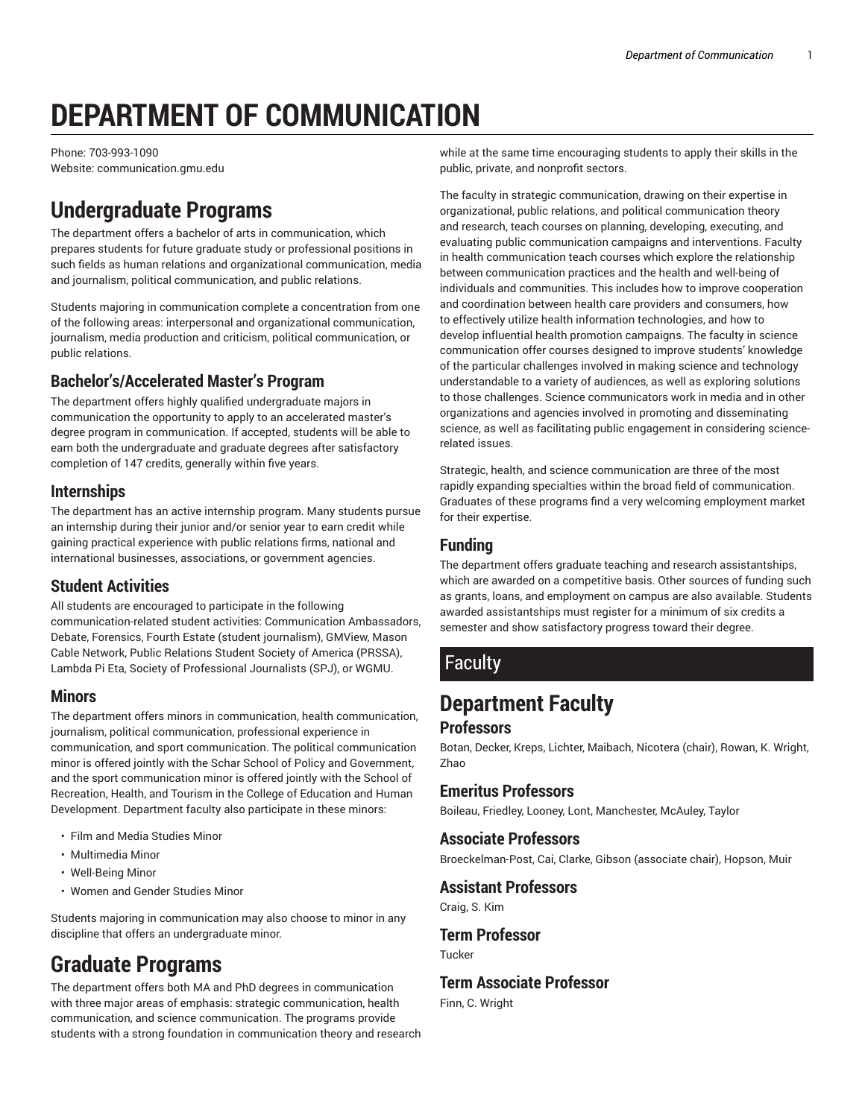# **DEPARTMENT OF COMMUNICATION**

Phone: 703-993-1090 Website: communication.gmu.edu

# **Undergraduate Programs**

The department offers a bachelor of arts in communication, which prepares students for future graduate study or professional positions in such fields as human relations and organizational communication, media and journalism, political communication, and public relations.

Students majoring in communication complete a concentration from one of the following areas: interpersonal and organizational communication, journalism, media production and criticism, political communication, or public relations.

### **Bachelor's/Accelerated Master's Program**

The department offers highly qualified undergraduate majors in communication the opportunity to apply to an accelerated master's degree program in communication. If accepted, students will be able to earn both the undergraduate and graduate degrees after satisfactory completion of 147 credits, generally within five years.

#### **Internships**

The department has an active internship program. Many students pursue an internship during their junior and/or senior year to earn credit while gaining practical experience with public relations firms, national and international businesses, associations, or government agencies.

#### **Student Activities**

All students are encouraged to participate in the following communication-related student activities: Communication Ambassadors, Debate, Forensics, Fourth Estate (student journalism), GMView, Mason Cable Network, Public Relations Student Society of America (PRSSA), Lambda Pi Eta, Society of Professional Journalists (SPJ), or WGMU.

#### **Minors**

The department offers minors in communication, health communication, journalism, political communication, professional experience in communication, and sport communication. The political communication minor is offered jointly with the Schar School of Policy and Government, and the sport communication minor is offered jointly with the School of Recreation, Health, and Tourism in the College of Education and Human Development. Department faculty also participate in these minors:

- Film and Media Studies Minor
- Multimedia Minor
- Well-Being Minor
- Women and Gender Studies Minor

Students majoring in communication may also choose to minor in any discipline that offers an undergraduate minor.

# **Graduate Programs**

The department offers both MA and PhD degrees in communication with three major areas of emphasis: strategic communication, health communication, and science communication. The programs provide students with a strong foundation in communication theory and research

while at the same time encouraging students to apply their skills in the public, private, and nonprofit sectors.

The faculty in strategic communication, drawing on their expertise in organizational, public relations, and political communication theory and research, teach courses on planning, developing, executing, and evaluating public communication campaigns and interventions. Faculty in health communication teach courses which explore the relationship between communication practices and the health and well-being of individuals and communities. This includes how to improve cooperation and coordination between health care providers and consumers, how to effectively utilize health information technologies, and how to develop influential health promotion campaigns. The faculty in science communication offer courses designed to improve students' knowledge of the particular challenges involved in making science and technology understandable to a variety of audiences, as well as exploring solutions to those challenges. Science communicators work in media and in other organizations and agencies involved in promoting and disseminating science, as well as facilitating public engagement in considering sciencerelated issues.

Strategic, health, and science communication are three of the most rapidly expanding specialties within the broad field of communication. Graduates of these programs find a very welcoming employment market for their expertise.

### **Funding**

The department offers graduate teaching and research assistantships, which are awarded on a competitive basis. Other sources of funding such as grants, loans, and employment on campus are also available. Students awarded assistantships must register for a minimum of six credits a semester and show satisfactory progress toward their degree.

## **Faculty**

# **Department Faculty**

#### **Professors**

Botan, Decker, Kreps, Lichter, Maibach, Nicotera (chair), Rowan, K. Wright, Zhao

#### **Emeritus Professors**

Boileau, Friedley, Looney, Lont, Manchester, McAuley, Taylor

#### **Associate Professors**

Broeckelman-Post, Cai, Clarke, Gibson (associate chair), Hopson, Muir

#### **Assistant Professors**

Craig, S. Kim

# **Term Professor**

Tucker

#### **Term Associate Professor**

Finn, C. Wright